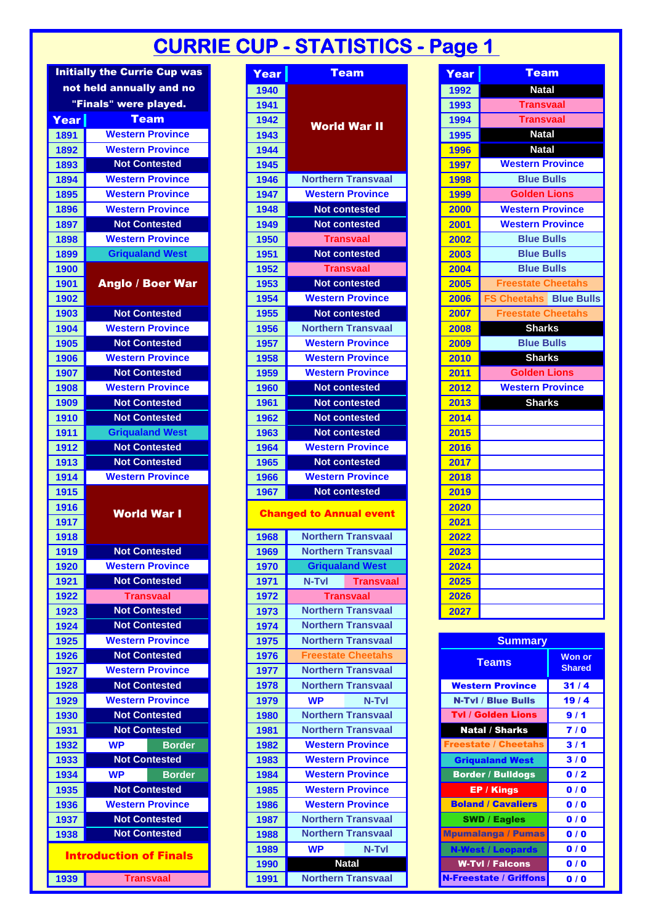## **CURRIE CUP - STATISTICS - Page 1**

|      | <b>Initially the Currie Cup was</b> | Year |                                | <b>Team</b>               | Year | <b>Team</b>                                      |                       |
|------|-------------------------------------|------|--------------------------------|---------------------------|------|--------------------------------------------------|-----------------------|
|      | not held annually and no            | 1940 |                                |                           | 1992 | <b>Natal</b>                                     |                       |
|      | "Finals" were played.               | 1941 |                                |                           | 1993 | <b>Transvaal</b>                                 |                       |
| Year | <b>Team</b>                         | 1942 |                                |                           | 1994 | <b>Transvaal</b>                                 |                       |
| 1891 | <b>Western Province</b>             | 1943 | <b>World War II</b>            |                           | 1995 | <b>Natal</b>                                     |                       |
| 1892 | <b>Western Province</b>             | 1944 |                                |                           | 1996 | <b>Natal</b>                                     |                       |
| 1893 | <b>Not Contested</b>                | 1945 |                                |                           | 1997 | <b>Western Province</b>                          |                       |
| 1894 | <b>Western Province</b>             | 1946 |                                | <b>Northern Transvaal</b> | 1998 | <b>Blue Bulls</b>                                |                       |
| 1895 | <b>Western Province</b>             | 1947 |                                | <b>Western Province</b>   | 1999 | <b>Golden Lions</b>                              |                       |
| 1896 | <b>Western Province</b>             | 1948 |                                | <b>Not contested</b>      | 2000 | <b>Western Province</b>                          |                       |
| 1897 | <b>Not Contested</b>                | 1949 |                                | <b>Not contested</b>      | 2001 | <b>Western Province</b>                          |                       |
| 1898 | <b>Western Province</b>             | 1950 |                                | <b>Transvaal</b>          | 2002 | <b>Blue Bulls</b>                                |                       |
| 1899 | <b>Griqualand West</b>              | 1951 |                                | <b>Not contested</b>      | 2003 | <b>Blue Bulls</b>                                |                       |
| 1900 |                                     | 1952 |                                | <b>Transvaal</b>          | 2004 | <b>Blue Bulls</b>                                |                       |
| 1901 | <b>Anglo / Boer War</b>             | 1953 |                                | <b>Not contested</b>      | 2005 | <b>Freestate Cheetahs</b>                        |                       |
| 1902 |                                     | 1954 |                                | <b>Western Province</b>   | 2006 | <b>FS Cheetahs</b> Blue Bulls                    |                       |
| 1903 | <b>Not Contested</b>                | 1955 |                                | <b>Not contested</b>      | 2007 | <b>Freestate Cheetahs</b>                        |                       |
| 1904 | <b>Western Province</b>             | 1956 |                                | <b>Northern Transvaal</b> | 2008 | <b>Sharks</b>                                    |                       |
| 1905 | <b>Not Contested</b>                | 1957 |                                | <b>Western Province</b>   | 2009 | <b>Blue Bulls</b>                                |                       |
| 1906 | <b>Western Province</b>             | 1958 |                                | <b>Western Province</b>   | 2010 | <b>Sharks</b>                                    |                       |
| 1907 | <b>Not Contested</b>                | 1959 |                                | <b>Western Province</b>   | 2011 | <b>Golden Lions</b>                              |                       |
| 1908 | <b>Western Province</b>             | 1960 |                                | <b>Not contested</b>      | 2012 | <b>Western Province</b>                          |                       |
| 1909 | <b>Not Contested</b>                | 1961 |                                | <b>Not contested</b>      | 2013 | <b>Sharks</b>                                    |                       |
| 1910 | <b>Not Contested</b>                | 1962 |                                | <b>Not contested</b>      | 2014 |                                                  |                       |
| 1911 | <b>Griqualand West</b>              | 1963 |                                | <b>Not contested</b>      | 2015 |                                                  |                       |
| 1912 | <b>Not Contested</b>                | 1964 |                                | <b>Western Province</b>   | 2016 |                                                  |                       |
| 1913 | <b>Not Contested</b>                | 1965 |                                | <b>Not contested</b>      | 2017 |                                                  |                       |
| 1914 | <b>Western Province</b>             | 1966 |                                | <b>Western Province</b>   | 2018 |                                                  |                       |
| 1915 |                                     | 1967 |                                | <b>Not contested</b>      | 2019 |                                                  |                       |
| 1916 | <b>World War I</b>                  |      | <b>Changed to Annual event</b> |                           | 2020 |                                                  |                       |
| 1917 |                                     |      |                                |                           | 2021 |                                                  |                       |
| 1918 |                                     | 1968 |                                | <b>Northern Transvaal</b> | 2022 |                                                  |                       |
| 1919 | <b>Not Contested</b>                | 1969 |                                | <b>Northern Transvaal</b> | 2023 |                                                  |                       |
| 1920 | <b>Western Province</b>             | 1970 |                                | <b>Grigualand West</b>    | 2024 |                                                  |                       |
| 1921 | <b>Not Contested</b>                | 1971 | N-Tvl                          | <b>Transvaal</b>          | 2025 |                                                  |                       |
| 1922 | <b>Transvaal</b>                    | 1972 |                                | <b>Transvaal</b>          | 2026 |                                                  |                       |
| 1923 | <b>Not Contested</b>                | 1973 |                                | <b>Northern Transvaal</b> | 2027 |                                                  |                       |
| 1924 | <b>Not Contested</b>                | 1974 |                                | <b>Northern Transvaal</b> |      |                                                  |                       |
| 1925 | <b>Western Province</b>             | 1975 |                                | <b>Northern Transvaal</b> |      | <b>Summary</b>                                   |                       |
| 1926 | <b>Not Contested</b>                | 1976 |                                | <b>Freestate Cheetahs</b> |      | <b>Teams</b>                                     | <b>Won or</b>         |
| 1927 | <b>Western Province</b>             | 1977 |                                | <b>Northern Transvaal</b> |      |                                                  | <b>Shared</b>         |
| 1928 | <b>Not Contested</b>                | 1978 |                                | <b>Northern Transvaal</b> |      | <b>Western Province</b>                          | 31/4                  |
| 1929 | <b>Western Province</b>             | 1979 | <b>WP</b>                      | N-Tvl                     |      | <b>N-Tvl / Blue Bulls</b>                        | 19/4                  |
| 1930 | <b>Not Contested</b>                | 1980 |                                | <b>Northern Transvaal</b> |      | <b>Tvl / Golden Lions</b>                        | 9/1                   |
| 1931 | <b>Not Contested</b>                | 1981 |                                | <b>Northern Transvaal</b> |      | <b>Natal / Sharks</b>                            | 7/0                   |
| 1932 | <b>WP</b><br><b>Border</b>          | 1982 |                                | <b>Western Province</b>   |      | <b>Freestate / Cheetahs</b>                      | 3/1                   |
| 1933 | <b>Not Contested</b>                | 1983 |                                | <b>Western Province</b>   |      | <b>Griqualand West</b>                           | 3/0                   |
| 1934 | <b>WP</b><br><b>Border</b>          | 1984 |                                | <b>Western Province</b>   |      | <b>Border / Bulldogs</b>                         | 0/2                   |
| 1935 | <b>Not Contested</b>                | 1985 |                                | <b>Western Province</b>   |      | <b>EP / Kings</b>                                | 0/0                   |
| 1936 | <b>Western Province</b>             | 1986 |                                | <b>Western Province</b>   |      | <b>Boland / Cavaliers</b>                        | 0/0                   |
| 1937 | <b>Not Contested</b>                | 1987 |                                | <b>Northern Transvaal</b> |      | <b>SWD / Eagles</b>                              | 0/0                   |
| 1938 | <b>Not Contested</b>                | 1988 |                                | <b>Northern Transvaal</b> |      | <b>Mpumalanga / Pumas</b>                        | 0/0                   |
|      | <b>Introduction of Finals</b>       | 1989 | <b>WP</b>                      | N-Tvl                     |      | <b>N-West / Leopards</b>                         | 0/0                   |
|      | 4030 Transvaal                      | 1990 | Northorn Transvaal             | <b>Natal</b>              |      | <b>W-Tvl / Falcons</b><br>N. Exactato / Criffone | 0/0<br>0 <sup>1</sup> |

|  | Year | Team                         |  |  |  |  |  |  |  |  |
|--|------|------------------------------|--|--|--|--|--|--|--|--|
|  | 1992 | <b>Natal</b>                 |  |  |  |  |  |  |  |  |
|  | 1993 | <b>Transvaal</b>             |  |  |  |  |  |  |  |  |
|  | 1994 | <b>Transvaal</b>             |  |  |  |  |  |  |  |  |
|  | 1995 | <b>Natal</b>                 |  |  |  |  |  |  |  |  |
|  | 1996 | <b>Natal</b>                 |  |  |  |  |  |  |  |  |
|  | 1997 | <b>Western Province</b>      |  |  |  |  |  |  |  |  |
|  | 1998 | <b>Blue Bulls</b>            |  |  |  |  |  |  |  |  |
|  | 1999 | <b>Golden Lions</b>          |  |  |  |  |  |  |  |  |
|  | 2000 | <b>Western Province</b>      |  |  |  |  |  |  |  |  |
|  | 2001 | <b>Western Province</b>      |  |  |  |  |  |  |  |  |
|  | 2002 | <b>Blue Bulls</b>            |  |  |  |  |  |  |  |  |
|  | 2003 | <b>Blue Bulls</b>            |  |  |  |  |  |  |  |  |
|  | 2004 | <b>Blue Bulls</b>            |  |  |  |  |  |  |  |  |
|  | 2005 | <b>Freestate Cheetahs</b>    |  |  |  |  |  |  |  |  |
|  | 2006 | <b>S Cheetahs</b> Blue Bulls |  |  |  |  |  |  |  |  |
|  | 2007 | Freestate Cheetahs           |  |  |  |  |  |  |  |  |
|  | 2008 | <b>Sharks</b>                |  |  |  |  |  |  |  |  |
|  | 2009 | <b>Blue Bulls</b>            |  |  |  |  |  |  |  |  |
|  | 2010 | <b>Sharks</b>                |  |  |  |  |  |  |  |  |
|  | 2011 | <b>Golden Lions</b>          |  |  |  |  |  |  |  |  |
|  | 2012 | <b>Western Province</b>      |  |  |  |  |  |  |  |  |
|  | 2013 | <b>Sharks</b>                |  |  |  |  |  |  |  |  |
|  | 2014 |                              |  |  |  |  |  |  |  |  |
|  | 2015 |                              |  |  |  |  |  |  |  |  |
|  | 2016 |                              |  |  |  |  |  |  |  |  |
|  | 2017 |                              |  |  |  |  |  |  |  |  |
|  | 2018 |                              |  |  |  |  |  |  |  |  |
|  | 2019 |                              |  |  |  |  |  |  |  |  |
|  | 2020 |                              |  |  |  |  |  |  |  |  |
|  | 2021 |                              |  |  |  |  |  |  |  |  |
|  | 2022 |                              |  |  |  |  |  |  |  |  |
|  | 2023 |                              |  |  |  |  |  |  |  |  |
|  | 2024 |                              |  |  |  |  |  |  |  |  |
|  | 2025 |                              |  |  |  |  |  |  |  |  |
|  | 2026 |                              |  |  |  |  |  |  |  |  |
|  | 2027 |                              |  |  |  |  |  |  |  |  |
|  |      |                              |  |  |  |  |  |  |  |  |

| 1925 |                               | <b>Western Province</b> | 1975 |                                                                                   | <b>Northern Transvaal</b> | <b>Summary</b>                |               |
|------|-------------------------------|-------------------------|------|-----------------------------------------------------------------------------------|---------------------------|-------------------------------|---------------|
| 1926 |                               | <b>Not Contested</b>    | 1976 |                                                                                   | <b>Freestate Cheetahs</b> |                               | <b>Won or</b> |
|      |                               | <b>Western Province</b> | 1977 | <b>Northern Transvaal</b>                                                         |                           | <b>Teams</b>                  | <b>Shared</b> |
| 1927 |                               |                         |      |                                                                                   |                           |                               |               |
| 1928 |                               | <b>Not Contested</b>    | 1978 |                                                                                   | <b>Northern Transvaal</b> | <b>Western Province</b>       | 31/4          |
| 1929 |                               | <b>Western Province</b> | 1979 | <b>WP</b>                                                                         | N-Tvl                     | <b>N-Tvl / Blue Bulls</b>     | 19/4          |
| 1930 |                               | <b>Not Contested</b>    | 1980 | <b>Northern Transvaal</b>                                                         |                           | <b>Tvl / Golden Lions</b>     | 9/1           |
| 1931 |                               | <b>Not Contested</b>    | 1981 | <b>Northern Transvaal</b>                                                         |                           | <b>Natal / Sharks</b>         | 7/0           |
| 1932 | <b>WP</b>                     | <b>Border</b>           | 1982 | <b>Western Province</b>                                                           |                           | <b>Freestate / Cheetahs</b>   | 3/1           |
| 1933 |                               | <b>Not Contested</b>    | 1983 | <b>Western Province</b>                                                           |                           | <b>Griqualand West</b>        | 3/0           |
| 1934 | <b>WP</b>                     | <b>Border</b>           | 1984 | <b>Western Province</b><br><b>Western Province</b>                                |                           | <b>Border / Bulldogs</b>      | 0/2           |
| 1935 |                               | <b>Not Contested</b>    | 1985 | <b>Western Province</b><br><b>Northern Transvaal</b><br><b>Northern Transvaal</b> |                           | <b>EP / Kings</b>             | 0/0           |
| 1936 |                               | <b>Western Province</b> | 1986 |                                                                                   |                           | <b>Boland / Cavaliers</b>     | 0/0           |
| 1937 |                               | <b>Not Contested</b>    | 1987 |                                                                                   |                           | <b>SWD / Eagles</b>           | 0/0           |
| 1938 |                               | <b>Not Contested</b>    | 1988 |                                                                                   |                           | <b>Mpumalanga / Pumas</b>     | 0/0           |
|      |                               |                         | 1989 | <b>WP</b>                                                                         | N-Tvl                     | <b>N-West / Leopards</b>      | 0/0           |
|      | <b>Introduction of Finals</b> |                         | 1990 | <b>Natal</b>                                                                      |                           | <b>W-Tvl / Falcons</b>        | 0/0           |
| 1939 |                               | <b>Transvaal</b>        | 1991 |                                                                                   | <b>Northern Transvaal</b> | <b>N-Freestate / Griffons</b> | 0/0           |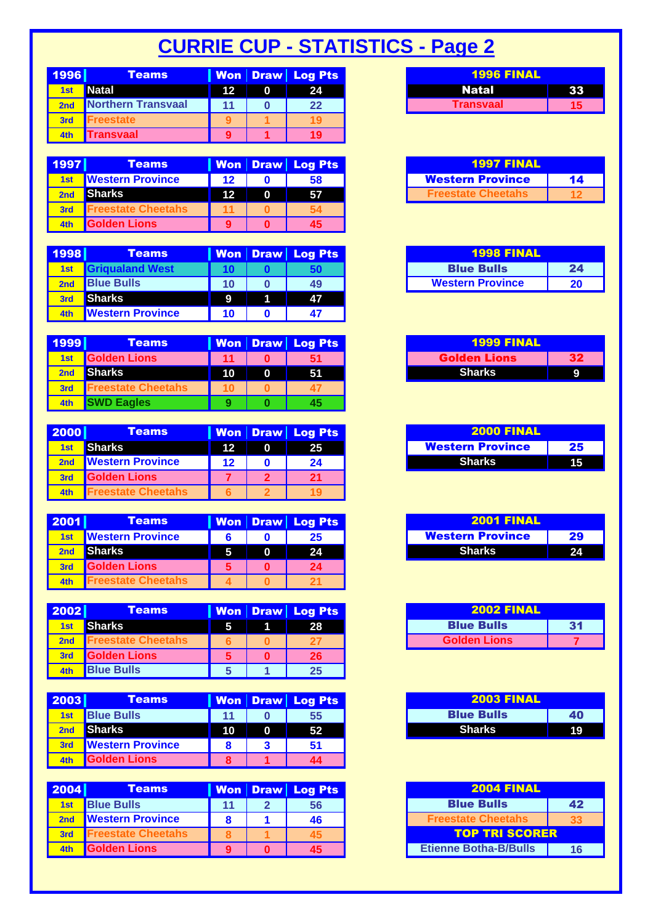## **CURRIE CUP - STATISTICS - Page 2**

| 1996       | <b>Teams</b>       |    | Won Draw Log Pts |
|------------|--------------------|----|------------------|
| <b>1st</b> | <b>Natal</b>       | 12 | 24               |
|            | Northern Transvaal |    | $22 \,$          |
| 3rd        | reestate           |    |                  |
| 4th        | ransvaal           |    | 19               |

| 1997 | <b>Teams</b>             |    | Won Draw Log Pts | <b>1997 FINAL</b>         |    |
|------|--------------------------|----|------------------|---------------------------|----|
| 1st  | <b>Nestern Province</b>  | 12 | 58               | <b>Western Province</b>   | 14 |
|      | <b>Sharks</b>            | 12 | 57               | <b>Freestate Cheetahs</b> | 12 |
| 3rd  | <b>reestate Cheetahs</b> |    |                  |                           |    |
| 4th  | <b>Golden Lions</b>      |    | 45               |                           |    |

| <b>1998</b>     | <b>Teams</b>            |    | Won Draw Log Pts | <b>1998 FINAL</b>       |  |
|-----------------|-------------------------|----|------------------|-------------------------|--|
| 1 <sub>st</sub> | <b>Grigualand West</b>  |    |                  | <b>Blue Bulls</b>       |  |
| 2nd             | <b>Blue Bulls</b>       | 10 | 49               | <b>Western Province</b> |  |
| 3rd             | <b>Sharks</b>           | 9  | 47               |                         |  |
| 4th             | <b>Western Province</b> | 10 |                  |                         |  |

| 1999 | <b>Teams</b>              |    | Won   Draw   Log Pts | <b>1999 FINAL</b>   |    |
|------|---------------------------|----|----------------------|---------------------|----|
| 1st  | <b>Golden Lions</b>       | 11 | 51                   | <b>Golden Lions</b> | 32 |
|      | <b>Sharks</b>             | 10 | 51                   | Sharks              |    |
| 3rd  | <b>Freestate Cheetahs</b> |    |                      |                     |    |
| 4th  | <b>SWD Eagles</b>         |    | 45                   |                     |    |

| 2000 | <b>Teams</b>            |    | Won Draw Log Pts | <b>2000 FINAL</b>       |    |
|------|-------------------------|----|------------------|-------------------------|----|
| 1st  | <b>Sharks</b>           | 12 | 25.              | <b>Western Province</b> | 25 |
|      | <b>Western Province</b> | 12 | 24               | <b>Sharks</b>           | 15 |
|      | <b>Golden Lions</b>     |    | 21               |                         |    |
| 4th  | reestate Cheetahs       |    |                  |                         |    |

| 2001 | <b>Teams</b>             |   | Won   Draw   Log Pts |
|------|--------------------------|---|----------------------|
| 1st  | <b>Nestern Province</b>  |   |                      |
|      | <b>Sharks</b>            | 5 | 24                   |
|      | <b>Golden Lions</b>      |   | 24                   |
| 4th  | <b>reestate Cheetahs</b> |   |                      |

| 2002            | <b>Teams</b>              |   | Won   Draw   Log Pts |
|-----------------|---------------------------|---|----------------------|
| 1 <sub>st</sub> | <b>Sharks</b>             | 5 | 28                   |
| 2nd             | <b>Freestate Cheetahs</b> |   |                      |
| 3rd             | <b>Golden Lions</b>       |   | 26                   |
| 4th             | <b>Blue Bulls</b>         |   | 25                   |

| 2003 | <b>Teams</b>            |                 | <b>Won Draw Log Pts</b> |
|------|-------------------------|-----------------|-------------------------|
| 1st  | <b>Blue Bulls</b>       | 11              | 55                      |
|      | <b>Sharks</b>           | 10 <sup>°</sup> | 52                      |
|      | <b>Nestern Province</b> |                 | 51                      |
| 4th  | <b>Golden Lions</b>     |                 | 44                      |

| 2004            | <b>Teams</b>               |  | <b>Won Draw Log Pts</b> | <b>2004 FINAL</b>            |    |  |
|-----------------|----------------------------|--|-------------------------|------------------------------|----|--|
| 1 <sub>st</sub> | <b>Blue Bulls</b>          |  | 56                      | <b>Blue Bulls</b>            | 42 |  |
|                 | <b>Western Province</b>    |  | 46                      | <b>Freestate Cheetahs</b>    | 33 |  |
| 3rd             | <b>IFreestate Cheetahs</b> |  |                         | <b>TOP TRI SCORER</b>        |    |  |
|                 | <b>Golden Lions</b>        |  | 45                      | <b>Etienne Botha-B/Bulls</b> | 16 |  |

| <b>1996 FINAL</b> |  |
|-------------------|--|
| <b>Natal</b>      |  |
| Transvaal         |  |

| <b>1997 FINAL</b>         |    |
|---------------------------|----|
| <b>Western Province</b>   | 14 |
| <b>Freestate Cheetahs</b> |    |

| <b>1998 FINAL</b>       |    |
|-------------------------|----|
| <b>Blue Bulls</b>       | 24 |
| <b>Western Province</b> | 20 |

| <b>1999 FINAL</b>   |  |
|---------------------|--|
| <b>Golden Lions</b> |  |
| <b>Sharks</b>       |  |

| <b>2000 FINAL</b>       |    |
|-------------------------|----|
| <b>Western Province</b> | 25 |
| <b>Sharks</b>           |    |

| <b>2001 FINAL</b>       |      |
|-------------------------|------|
| <b>Western Province</b> | 29   |
| <b>Sharks</b>           | י כי |

| <b>2002 FINAL</b>   |    |
|---------------------|----|
| <b>Blue Bulls</b>   | 31 |
| <b>Golden Lions</b> |    |

| <b>2003 FINAL</b> |     |
|-------------------|-----|
| <b>Blue Bulls</b> | 40  |
| <b>Sharks</b>     | ٩Ć. |

| <b>2004 FINAL</b>            |    |
|------------------------------|----|
| <b>Blue Bulls</b>            | 42 |
| <b>Freestate Cheetahs</b>    |    |
| <b>TOP TRI SCORER</b>        |    |
| <b>Etienne Botha-B/Bulls</b> | 16 |